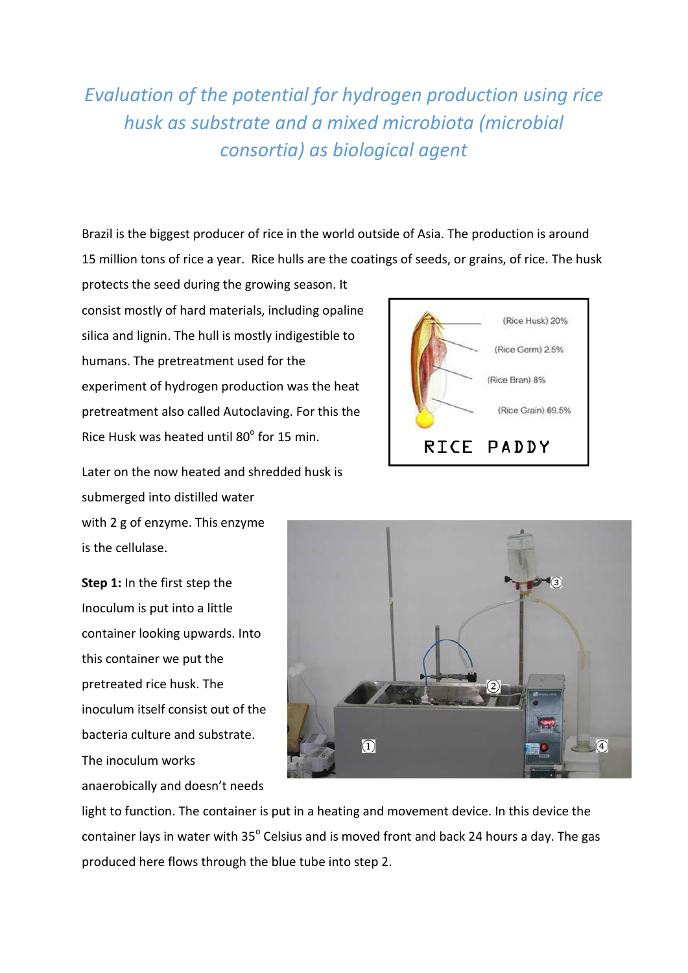*Evaluation of the potential for hydrogen production using rice husk as substrate and a mixed microbiota (microbial consortia) as biological agent*

Brazil is the biggest producer of rice in the world outside of Asia. The production is around 15 million tons of rice a year. Rice hulls are the coatings of seeds, or grains, of rice. The husk

protects the seed during the growing season. It consist mostly of hard materials, including opaline silica and lignin. The hull is mostly indigestible to humans. The pretreatment used for the experiment of hydrogen production was the heat pretreatment also called Autoclaving. For this the Rice Husk was heated until 80° for 15 min.

Later on the now heated and shredded husk is submerged into distilled water with 2 g of enzyme. This enzyme is the cellulase.

**Step 1:** In the first step the Inoculum is put into a little container looking upwards. Into this container we put the pretreated rice husk. The inoculum itself consist out of the bacteria culture and substrate. The inoculum works anaerobically and doesn't needs





light to function. The container is put in a heating and movement device. In this device the container lays in water with 35° Celsius and is moved front and back 24 hours a day. The gas produced here flows through the blue tube into step 2.